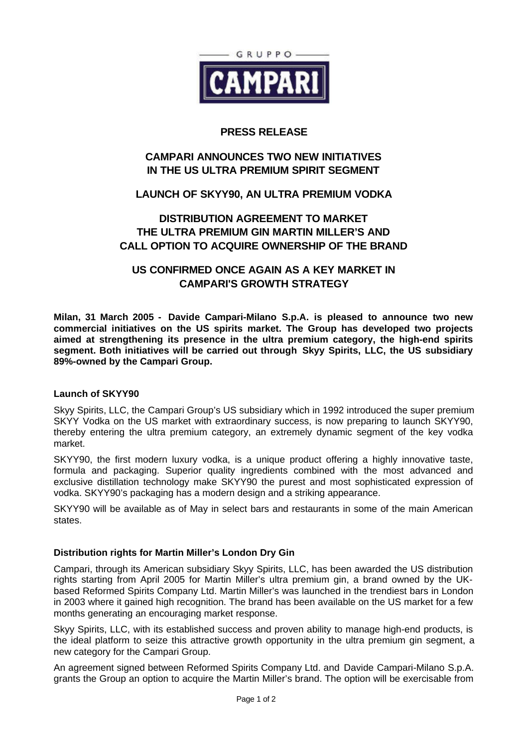

## **PRESS RELEASE**

# **CAMPARI ANNOUNCES TWO NEW INITIATIVES IN THE US ULTRA PREMIUM SPIRIT SEGMENT**

# **LAUNCH OF SKYY90, AN ULTRA PREMIUM VODKA**

# **DISTRIBUTION AGREEMENT TO MARKET THE ULTRA PREMIUM GIN MARTIN MILLER'S AND CALL OPTION TO ACQUIRE OWNERSHIP OF THE BRAND**

# **US CONFIRMED ONCE AGAIN AS A KEY MARKET IN CAMPARI'S GROWTH STRATEGY**

**Milan, 31 March 2005 - Davide Campari-Milano S.p.A. is pleased to announce two new commercial initiatives on the US spirits market. The Group has developed two projects aimed at strengthening its presence in the ultra premium category, the high-end spirits segment. Both initiatives will be carried out through Skyy Spirits, LLC, the US subsidiary 89%-owned by the Campari Group.**

## **Launch of SKYY90**

Skyy Spirits, LLC, the Campari Group's US subsidiary which in 1992 introduced the super premium SKYY Vodka on the US market with extraordinary success, is now preparing to launch SKYY90, thereby entering the ultra premium category, an extremely dynamic segment of the key vodka market.

SKYY90, the first modern luxury vodka, is a unique product offering a highly innovative taste, formula and packaging. Superior quality ingredients combined with the most advanced and exclusive distillation technology make SKYY90 the purest and most sophisticated expression of vodka. SKYY90's packaging has a modern design and a striking appearance.

SKYY90 will be available as of May in select bars and restaurants in some of the main American states.

## **Distribution rights for Martin Miller's London Dry Gin**

Campari, through its American subsidiary Skyy Spirits, LLC, has been awarded the US distribution rights starting from April 2005 for Martin Miller's ultra premium gin, a brand owned by the UKbased Reformed Spirits Company Ltd. Martin Miller's was launched in the trendiest bars in London in 2003 where it gained high recognition. The brand has been available on the US market for a few months generating an encouraging market response.

Skyy Spirits, LLC, with its established success and proven ability to manage high-end products, is the ideal platform to seize this attractive growth opportunity in the ultra premium gin segment, a new category for the Campari Group.

An agreement signed between Reformed Spirits Company Ltd. and Davide Campari-Milano S.p.A. grants the Group an option to acquire the Martin Miller's brand. The option will be exercisable from